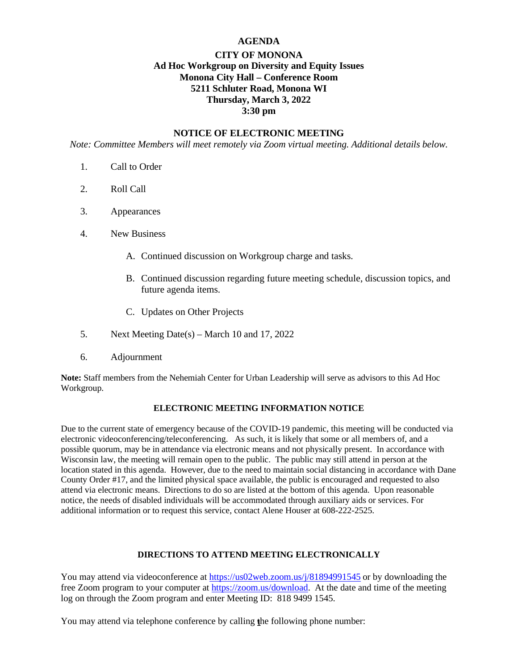# **AGENDA**

# **CITY OF MONONA Ad Hoc Workgroup on Diversity and Equity Issues Monona City Hall – Conference Room 5211 Schluter Road, Monona WI Thursday, March 3, 2022 3:30 pm**

## **NOTICE OF ELECTRONIC MEETING**

*Note: Committee Members will meet remotely via Zoom virtual meeting. Additional details below.*

- 1. Call to Order
- 2. Roll Call
- 3. Appearances
- 4. New Business
	- A. Continued discussion on Workgroup charge and tasks.
	- B. Continued discussion regarding future meeting schedule, discussion topics, and future agenda items.
	- C. Updates on Other Projects
- 5. Next Meeting Date(s) March 10 and 17, 2022
- 6. Adjournment

**Note:** Staff members from the Nehemiah Center for Urban Leadership will serve as advisors to this Ad Hoc Workgroup.

# **ELECTRONIC MEETING INFORMATION NOTICE**

Due to the current state of emergency because of the COVID-19 pandemic, this meeting will be conducted via electronic videoconferencing/teleconferencing. As such, it is likely that some or all members of, and a possible quorum, may be in attendance via electronic means and not physically present. In accordance with Wisconsin law, the meeting will remain open to the public. The public may still attend in person at the location stated in this agenda. However, due to the need to maintain social distancing in accordance with Dane County Order #17, and the limited physical space available, the public is encouraged and requested to also attend via electronic means. Directions to do so are listed at the bottom of this agenda. Upon reasonable notice, the needs of disabled individuals will be accommodated through auxiliary aids or services. For additional information or to request this service, contact Alene Houser at 608-222-2525.

### **DIRECTIONS TO ATTEND MEETING ELECTRONICALLY**

You may attend via videoconference at <https://us02web.zoom.us/j/81894991545> or by downloading the free Zoom program to your computer at [https://zoom.us/download.](https://zoom.us/download) At the date and time of the meeting log on through the Zoom program and enter Meeting ID: 818 9499 1545.

You may attend via telephone conference by calling the following phone number: